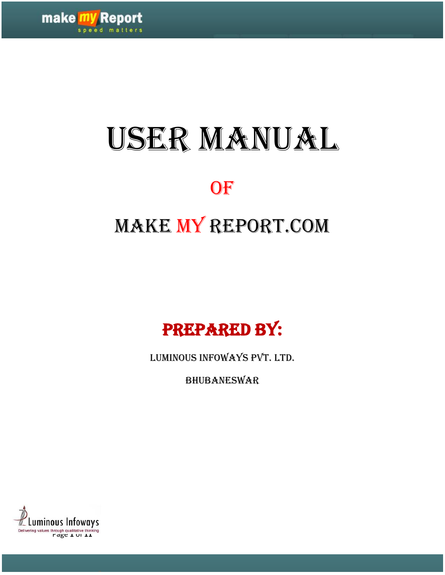

# USER MANUAL

## OF<sup>®</sup>

# Make My Report.com



Luminous Infoways Pvt. Ltd.

Bhubaneswar

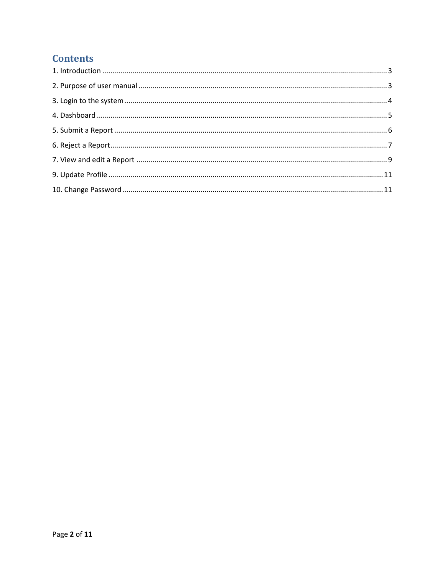#### **Contents**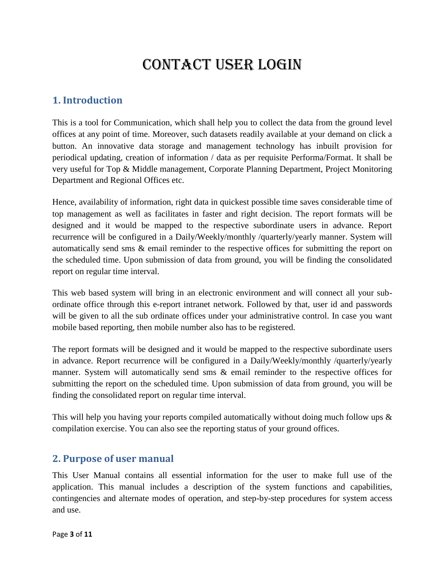### Contact user Login

#### <span id="page-2-0"></span>**1. Introduction**

This is a tool for Communication, which shall help you to collect the data from the ground level offices at any point of time. Moreover, such datasets readily available at your demand on click a button. An innovative data storage and management technology has inbuilt provision for periodical updating, creation of information / data as per requisite Performa/Format. It shall be very useful for Top & Middle management, Corporate Planning Department, Project Monitoring Department and Regional Offices etc.

Hence, availability of information, right data in quickest possible time saves considerable time of top management as well as facilitates in faster and right decision. The report formats will be designed and it would be mapped to the respective subordinate users in advance. Report recurrence will be configured in a Daily/Weekly/monthly /quarterly/yearly manner. System will automatically send sms & email reminder to the respective offices for submitting the report on the scheduled time. Upon submission of data from ground, you will be finding the consolidated report on regular time interval.

This web based system will bring in an electronic environment and will connect all your subordinate office through this e-report intranet network. Followed by that, user id and passwords will be given to all the sub ordinate offices under your administrative control. In case you want mobile based reporting, then mobile number also has to be registered.

The report formats will be designed and it would be mapped to the respective subordinate users in advance. Report recurrence will be configured in a Daily/Weekly/monthly /quarterly/yearly manner. System will automatically send sms & email reminder to the respective offices for submitting the report on the scheduled time. Upon submission of data from ground, you will be finding the consolidated report on regular time interval.

This will help you having your reports compiled automatically without doing much follow ups  $\&$ compilation exercise. You can also see the reporting status of your ground offices.

#### <span id="page-2-1"></span>**2. Purpose of user manual**

This User Manual contains all essential information for the user to make full use of the application. This manual includes a description of the system functions and capabilities, contingencies and alternate modes of operation, and step-by-step procedures for system access and use.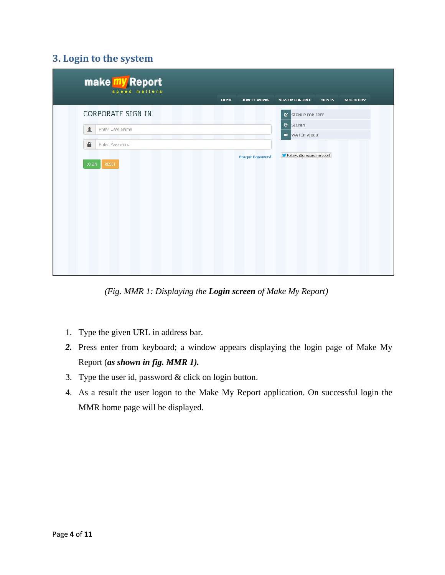#### **3. Login to the system**

<span id="page-3-0"></span>

| make my Report<br>speed matters     |      |                        |                             |         |                   |  |
|-------------------------------------|------|------------------------|-----------------------------|---------|-------------------|--|
|                                     | HOME | <b>HOW IT WORKS</b>    | SIGN UP FOR FREE            | SIGN IN | <b>CASE STUDY</b> |  |
| CORPORATE SIGN IN                   |      |                        | <b>SIGNUP FOR FREE</b><br>ø |         |                   |  |
| $\blacktriangle$<br>Enter User Name |      |                        | <b>C</b> SIGNIN             |         |                   |  |
|                                     |      |                        | <b>E</b> WATCH VIDEO        |         |                   |  |
| Α<br>Enter Password                 |      |                        |                             |         |                   |  |
|                                     |      | <b>Forgot Password</b> | Follow @preparemyreport     |         |                   |  |
| <b>LOGIN</b><br><b>RESET</b>        |      |                        |                             |         |                   |  |
|                                     |      |                        |                             |         |                   |  |
|                                     |      |                        |                             |         |                   |  |
|                                     |      |                        |                             |         |                   |  |
|                                     |      |                        |                             |         |                   |  |
|                                     |      |                        |                             |         |                   |  |
|                                     |      |                        |                             |         |                   |  |
|                                     |      |                        |                             |         |                   |  |
|                                     |      |                        |                             |         |                   |  |
|                                     |      |                        |                             |         |                   |  |

*(Fig. MMR 1: Displaying the Login screen of Make My Report)*

- 1. Type the given URL in address bar.
- *2.* Press enter from keyboard; a window appears displaying the login page of Make My Report (*as shown in fig. MMR 1).*
- 3. Type the user id, password & click on login button.
- 4. As a result the user logon to the Make My Report application. On successful login the MMR home page will be displayed.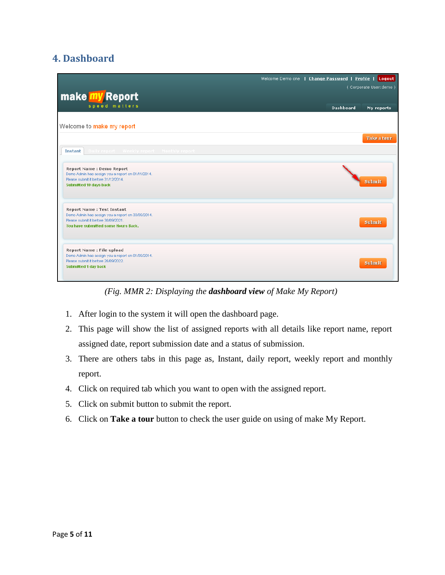#### <span id="page-4-0"></span>**4. Dashboard**

|                                                                            | Welcome Demo one   Change Password   Profile   Logout |
|----------------------------------------------------------------------------|-------------------------------------------------------|
|                                                                            | (Corporate User:demo)                                 |
| make my Report                                                             |                                                       |
|                                                                            |                                                       |
| speed matters                                                              | <b>Dashboard</b><br>My reports                        |
|                                                                            |                                                       |
| Welcome to make my report                                                  |                                                       |
|                                                                            |                                                       |
|                                                                            | <b>Take a tour</b>                                    |
|                                                                            |                                                       |
| Daily report Weekly report Monthly report<br><b>Instant</b>                |                                                       |
|                                                                            |                                                       |
| Report Name : Demo Report                                                  |                                                       |
| Demo Admin has assign you a report on 01/11/2014.                          |                                                       |
| Please submit it before 31/12/2014.                                        | <b>Submit</b>                                         |
| Submitted 10 days back                                                     |                                                       |
|                                                                            |                                                       |
|                                                                            |                                                       |
| <b>Report Name: Test Instant</b>                                           |                                                       |
| Demo Admin has assign you a report on 30/09/2014.                          |                                                       |
| Please submit it before 30/09/2021.<br>You have submitted some Hours Back. | Submit                                                |
|                                                                            |                                                       |
|                                                                            |                                                       |
|                                                                            |                                                       |
| Report Name : File upload                                                  |                                                       |
| Demo Admin has assign you a report on 01/09/2014.                          |                                                       |
| Please submit it before 26/09/2022.<br>Submitted 1 day back                | <b>Submit</b>                                         |
|                                                                            |                                                       |
|                                                                            |                                                       |

*(Fig. MMR 2: Displaying the dashboard view of Make My Report)*

- 1. After login to the system it will open the dashboard page.
- 2. This page will show the list of assigned reports with all details like report name, report assigned date, report submission date and a status of submission.
- 3. There are others tabs in this page as, Instant, daily report, weekly report and monthly report.
- 4. Click on required tab which you want to open with the assigned report.
- 5. Click on submit button to submit the report.
- 6. Click on **Take a tour** button to check the user guide on using of make My Report.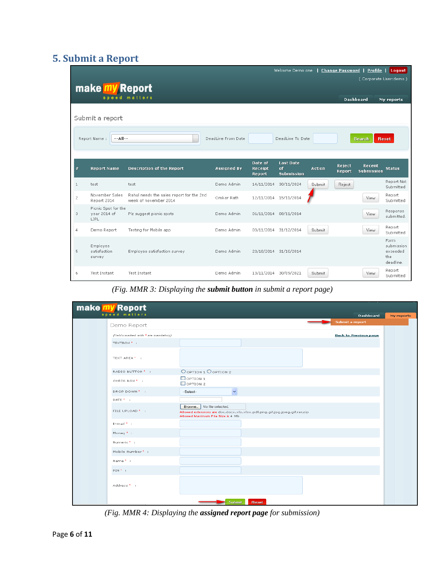#### <span id="page-5-0"></span>**5. Submit a Report**

|                |                                               |                                                                   |                    |                              | Welcome Demo one   Change Password   Profile   Logout |               |                  |                             |                                                     |
|----------------|-----------------------------------------------|-------------------------------------------------------------------|--------------------|------------------------------|-------------------------------------------------------|---------------|------------------|-----------------------------|-----------------------------------------------------|
|                | make <b>my</b> Report                         |                                                                   |                    |                              |                                                       |               |                  | (Corporate User:demo)       |                                                     |
|                |                                               | speed matters                                                     |                    |                              |                                                       |               | <b>Dashboard</b> |                             | My reports                                          |
|                | Submit a report<br>$-$ -All--<br>Report Name: |                                                                   | DeadLine From Date |                              | DeadLine To Date                                      |               |                  | <b>Search</b>               | <b>Reset</b>                                        |
| #              | <b>Report Name</b>                            | <b>Description of the Report</b>                                  | <b>Assigned By</b> | Date of<br>Receipt<br>Report | Last Date<br>of<br><b>Submission</b>                  | <b>Action</b> | Reject<br>Report | Recent<br><b>Submission</b> | <b>Status</b>                                       |
| $\mathbf{1}$   | test                                          | test                                                              | Demo Admin         | 14/11/2014                   | 30/11/2024                                            | <b>Submit</b> | Reject           |                             | Report Not<br>Submitted                             |
| $\overline{c}$ | November Sales<br>Report 2014                 | Rahul needs the sales report for the 2nd<br>week of november 2014 | Omkar Rath         | 12/11/2014 15/11/2014        |                                                       |               |                  | View.                       | Report<br>Submitted                                 |
| 3              | Picnic Spot for the<br>year 2014 of<br>LIPL   | Plz suggest picnic spots                                          | Demo Admin         | 06/11/2014 08/11/2014        |                                                       |               |                  | View                        | Response<br>submitted.                              |
| 4              | Demo Report                                   | Testing for Mobile app                                            | Demo Admin         | 03/11/2014 31/12/2014        |                                                       | Submit        |                  | View.                       | Report<br>Submitted                                 |
| 5              | Employee<br>satisfaction<br>survey            | Employee satisfaction survey                                      | Demo Admin         | 20/10/2014 31/10/2014        |                                                       |               |                  |                             | Form.<br>submission<br>exceeded<br>the<br>deadline. |
| 6              | Test Instant                                  | Test Instant                                                      | Demo Admin         | 13/11/2014                   | 30/09/2021                                            | Submit        |                  | View                        | Report<br>Submitted                                 |

*(Fig. MMR 3: Displaying the submit button in submit a report page)*

| make my Report<br>speed matters      |                                                                  |                                                                                      |                              |
|--------------------------------------|------------------------------------------------------------------|--------------------------------------------------------------------------------------|------------------------------|
|                                      |                                                                  |                                                                                      | Dashboard<br>Submit a report |
| Demo Report                          |                                                                  |                                                                                      |                              |
| (Fields marked with * are mandatory) |                                                                  |                                                                                      | <b>Back to Previous page</b> |
| TEXTBOX * :                          |                                                                  |                                                                                      |                              |
| TEXT AREA ' :                        |                                                                  |                                                                                      |                              |
| RADIO BUTTON <sup>*</sup> :          | O OPTION 1 O OPTION 2                                            |                                                                                      |                              |
| CHECK BOX * :                        | $\Box$ OPTION 1<br>$\Box$ OPTION 2                               |                                                                                      |                              |
| DROP DOWN':                          | $\checkmark$<br>--Select--                                       |                                                                                      |                              |
| DATE * :                             |                                                                  |                                                                                      |                              |
| FILE UPLOAD * :                      | No file selected.<br>Browse<br>Allowed Maximum File Size is 4 Mb | Allowed extensions are doc, docx, xls, xlsx, pdf, png, gif, jpg, jpeg, gif, rar, zip |                              |
| E-mail * :                           |                                                                  |                                                                                      |                              |
| Money * :                            |                                                                  |                                                                                      |                              |
| Numeric <sup>*</sup>                 |                                                                  |                                                                                      |                              |
| Mobile Number * :                    |                                                                  |                                                                                      |                              |
| Name * :                             |                                                                  |                                                                                      |                              |
| PIN <sup>*</sup> :                   |                                                                  |                                                                                      |                              |
| Address <sup>*</sup> :               |                                                                  |                                                                                      |                              |
|                                      | <b>Submit</b>                                                    | <b>Reset</b>                                                                         |                              |

*(Fig. MMR 4: Displaying the assigned report page for submission)*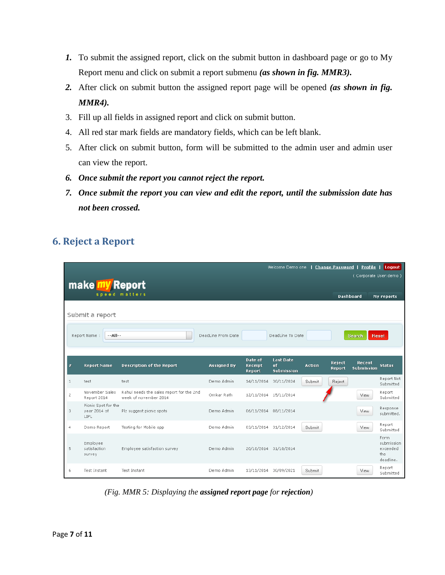- *1.* To submit the assigned report, click on the submit button in dashboard page or go to My Report menu and click on submit a report submenu *(as shown in fig. MMR3).*
- *2.* After click on submit button the assigned report page will be opened *(as shown in fig. MMR4).*
- 3. Fill up all fields in assigned report and click on submit button.
- 4. All red star mark fields are mandatory fields, which can be left blank.
- 5. After click on submit button, form will be submitted to the admin user and admin user can view the report.
- *6. Once submit the report you cannot reject the report.*
- *7. Once submit the report you can view and edit the report, until the submission date has not been crossed.*

#### <span id="page-6-0"></span>**6. Reject a Report**

|                |                                                 |                                                                   |                    |                              | Welcome Demo one   Change Password   Profile |               |                  |                             | Logout                                              |  |  |
|----------------|-------------------------------------------------|-------------------------------------------------------------------|--------------------|------------------------------|----------------------------------------------|---------------|------------------|-----------------------------|-----------------------------------------------------|--|--|
|                | (Corporate User: demo)<br><b>make my Report</b> |                                                                   |                    |                              |                                              |               |                  |                             |                                                     |  |  |
|                |                                                 | speed matters                                                     |                    |                              |                                              |               | <b>Dashboard</b> |                             | My reports                                          |  |  |
|                | Submit a report                                 |                                                                   |                    |                              |                                              |               |                  |                             |                                                     |  |  |
|                | $ All -$<br>Report Name:                        |                                                                   | DeadLine From Date |                              | DeadLine To Date                             |               |                  | <b>Search</b>               | Reset                                               |  |  |
|                |                                                 |                                                                   |                    |                              |                                              |               |                  |                             |                                                     |  |  |
| #              | <b>Report Name</b>                              | <b>Description of the Report</b>                                  | <b>Assigned By</b> | Date of<br>Receipt<br>Report | <b>Last Date</b><br>of<br><b>Submission</b>  | <b>Action</b> | Reject<br>Report | Recent<br><b>Submission</b> | <b>Status</b>                                       |  |  |
| $\mathbf{1}$   | test                                            | test                                                              | Demo Admin         | 14/11/2014                   | 30/11/2024                                   | Submit        | Reject           |                             | Report Not<br>Submitted                             |  |  |
| $\overline{c}$ | November Sales<br>Report 2014                   | Rahul needs the sales report for the 2nd<br>week of november 2014 | Omkar Rath         |                              | 12/11/2014 15/11/2014                        |               |                  | View                        | Report<br>Submitted                                 |  |  |
| 3              | Picnic Spot for the<br>year 2014 of<br>LIPL.    | Plz suggest picnic spots                                          | Demo Admin         |                              | 06/11/2014 08/11/2014                        |               |                  | View.                       | Response<br>submitted.                              |  |  |
| $\overline{4}$ | Demo Report                                     | Testing for Mobile app                                            | Demo Admin         |                              | 03/11/2014 31/12/2014                        | Submit        |                  | View                        | Report<br>Submitted                                 |  |  |
| 5              | Employee<br>satisfaction<br>survey              | Employee satisfaction survey                                      | Demo Admin         |                              | 20/10/2014 31/10/2014                        |               |                  |                             | Form<br>submission<br>exceeded<br>the.<br>deadline. |  |  |
| 6              | <b>Test Instant</b>                             | Test Instant                                                      | Demo Admin         | 13/11/2014                   | 30/09/2021                                   | Submit        |                  | View                        | Report<br>Submitted                                 |  |  |

*(Fig. MMR 5: Displaying the assigned report page for rejection)*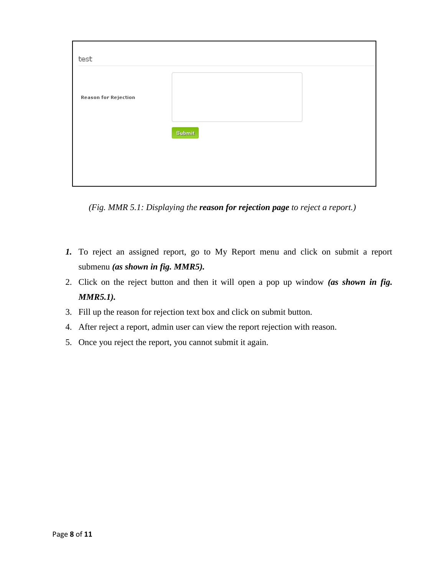| test                        |        |  |
|-----------------------------|--------|--|
| <b>Reason for Rejection</b> |        |  |
|                             | Submit |  |
|                             |        |  |

*(Fig. MMR 5.1: Displaying the reason for rejection page to reject a report.)*

- *1.* To reject an assigned report, go to My Report menu and click on submit a report submenu *(as shown in fig. MMR5).*
- 2. Click on the reject button and then it will open a pop up window *(as shown in fig. MMR5.1).*
- 3. Fill up the reason for rejection text box and click on submit button.
- 4. After reject a report, admin user can view the report rejection with reason.
- 5. Once you reject the report, you cannot submit it again.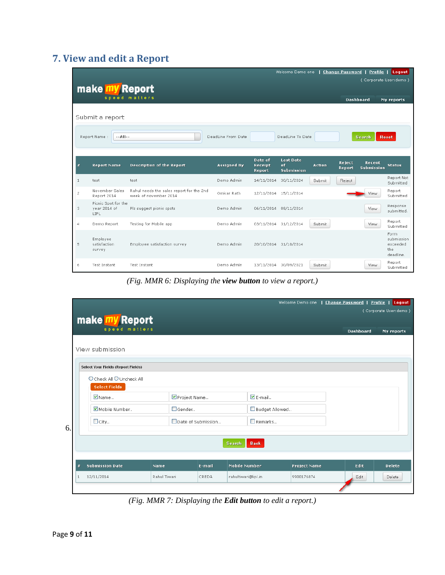#### <span id="page-8-0"></span>**7. View and edit a Report**

|                |                                              |                                                                   |                    |                              | Welcome Demo one                            |               | <b>Change Password</b> | Profile               | Logout                                             |
|----------------|----------------------------------------------|-------------------------------------------------------------------|--------------------|------------------------------|---------------------------------------------|---------------|------------------------|-----------------------|----------------------------------------------------|
|                | make <b>my</b> Report                        |                                                                   |                    |                              |                                             |               |                        | (Corporate User:demo) |                                                    |
|                |                                              | speed matters                                                     |                    |                              |                                             |               | <b>Dashboard</b>       |                       | My reports                                         |
|                | Submit a report                              |                                                                   |                    |                              |                                             |               |                        |                       |                                                    |
|                | $-$ -All--<br>Report Name:                   |                                                                   | DeadLine From Date |                              | DeadLine To Date                            |               |                        | <b>Search</b>         | <b>Reset</b>                                       |
|                |                                              |                                                                   |                    |                              |                                             |               |                        |                       |                                                    |
| $\ast$         | <b>Report Name</b>                           | <b>Description of the Report</b>                                  | <b>Assigned By</b> | Date of<br>Receipt<br>Report | <b>Last Date</b><br>of<br><b>Submission</b> | <b>Action</b> | Reject<br>Report       | Recent<br>Submission  | <b>Status</b>                                      |
| $\mathbf{1}$   | test                                         | test                                                              | Demo Admin         | 14/11/2014                   | 30/11/2024                                  | Submit        | Reject                 |                       | Report Not<br>Submitted                            |
| $\overline{c}$ | November Sales<br>Report 2014                | Rahul needs the sales report for the 2nd<br>week of november 2014 | Omkar Rath         |                              | 12/11/2014 15/11/2014                       |               |                        | View                  | Report<br>Submitted                                |
| 3              | Picnic Spot for the<br>year 2014 of<br>LIPL. | Plz suggest picnic spots                                          | Demo Admin         |                              | 06/11/2014 08/11/2014                       |               |                        | <b>View</b>           | Response<br>submitted.                             |
| $\overline{4}$ | Demo Report                                  | Testing for Mobile app                                            | Demo Admin         |                              | 03/11/2014 31/12/2014                       | Submit        |                        | <b>View</b>           | Report<br>Submitted                                |
| 5              | Employee<br>satisfaction<br>survey           | Employee satisfaction survey                                      | Demo Admin         |                              | 20/10/2014 31/10/2014                       |               |                        |                       | Form<br>submission<br>exceeded<br>the<br>deadline. |
| 6              | Test Instant                                 | <b>Test Instant</b>                                               | Demo Admin         | 13/11/2014                   | 30/09/2021                                  | Submit        |                        | View                  | Report<br>Submitted                                |

*(Fig. MMR 6: Displaying the view button to view a report.)*

|    |   |                                    |              |                             |        |                     |                 |                     |                  | Welcome Demo one   Change Password   Profile   Logout |
|----|---|------------------------------------|--------------|-----------------------------|--------|---------------------|-----------------|---------------------|------------------|-------------------------------------------------------|
|    |   |                                    |              |                             |        |                     |                 |                     |                  | (Corporate User:demo)                                 |
|    |   | make my Report<br>speed matters    |              |                             |        |                     |                 |                     |                  |                                                       |
|    |   |                                    |              |                             |        |                     |                 |                     | <b>Dashboard</b> | My reports                                            |
|    |   | View submission                    |              |                             |        |                     |                 |                     |                  |                                                       |
|    |   |                                    |              |                             |        |                     |                 |                     |                  |                                                       |
|    |   | Select Your Fields (Report Fields) |              |                             |        |                     |                 |                     |                  |                                                       |
|    |   | O Check All O Uncheck All          |              |                             |        |                     |                 |                     |                  |                                                       |
|    |   | <b>Select Fields</b>               |              |                             |        |                     |                 |                     |                  |                                                       |
|    |   | $\n  Name$ .                       |              | $\blacksquare$ Project Name |        |                     | $\nabla$ E-mail |                     |                  |                                                       |
|    |   | Mobile Number                      |              | Gender                      |        |                     | Budget Allowed  |                     |                  |                                                       |
|    |   | $\Box$ City                        |              | Date of Submission          |        |                     | $\Box$ Remarks  |                     |                  |                                                       |
| 6. |   |                                    |              |                             |        |                     |                 |                     |                  |                                                       |
|    |   |                                    |              |                             |        | <b>Search</b>       | <b>Back</b>     |                     |                  |                                                       |
|    |   |                                    |              |                             |        |                     |                 |                     |                  |                                                       |
|    | # | <b>Submission Date</b>             | Name         |                             | E-mail | Mobile Number       |                 | <b>Project Name</b> | Edit             | Delete                                                |
|    | 1 | 12/11/2014                         | Rahul Tiwari |                             | CREDA  | rahultiwari@lipl.in |                 | 9900176874          | Edit             | Delete                                                |
|    |   |                                    |              |                             |        |                     |                 |                     |                  |                                                       |

*(Fig. MMR 7: Displaying the Edit button to edit a report.)*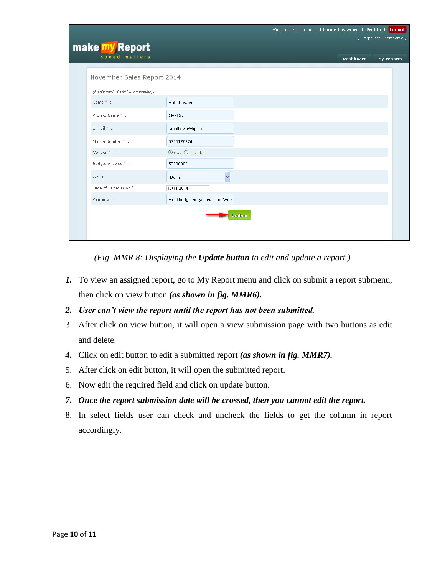|                                      | Welcome Demo one   Change Password   Profile   Logout |
|--------------------------------------|-------------------------------------------------------|
|                                      | (Corporate User:demo)                                 |
| make my Report                       |                                                       |
| speed matters                        | <b>Dashboard</b><br>My reports                        |
| November Sales Report 2014           |                                                       |
| (Fields marked with * are mandatory) |                                                       |
| Name * :                             | Rahul Tiwari                                          |
| Project Name * :                     | CREDA                                                 |
| E-mail * :                           | rahultiwari@lipl.in                                   |
| Mobile Number * :                    | 9900176874                                            |
| Gender* :                            | O Male O Female                                       |
| Budget Allowed * :                   | 50000000                                              |
| City:                                | Ų<br>Delhi                                            |
| Date of Submission * :               | 12/11/2014                                            |
| Remarks:                             | Final budget not yet finalized. We n                  |
|                                      | Update                                                |

*(Fig. MMR 8: Displaying the Update button to edit and update a report.)*

- *1.* To view an assigned report, go to My Report menu and click on submit a report submenu, then click on view button *(as shown in fig. MMR6).*
- *2. User can't view the report until the report has not been submitted.*
- 3. After click on view button, it will open a view submission page with two buttons as edit and delete.
- *4.* Click on edit button to edit a submitted report *(as shown in fig. MMR7).*
- 5. After click on edit button, it will open the submitted report.
- 6. Now edit the required field and click on update button.
- *7. Once the report submission date will be crossed, then you cannot edit the report.*
- <span id="page-9-0"></span>8. In select fields user can check and uncheck the fields to get the column in report accordingly.